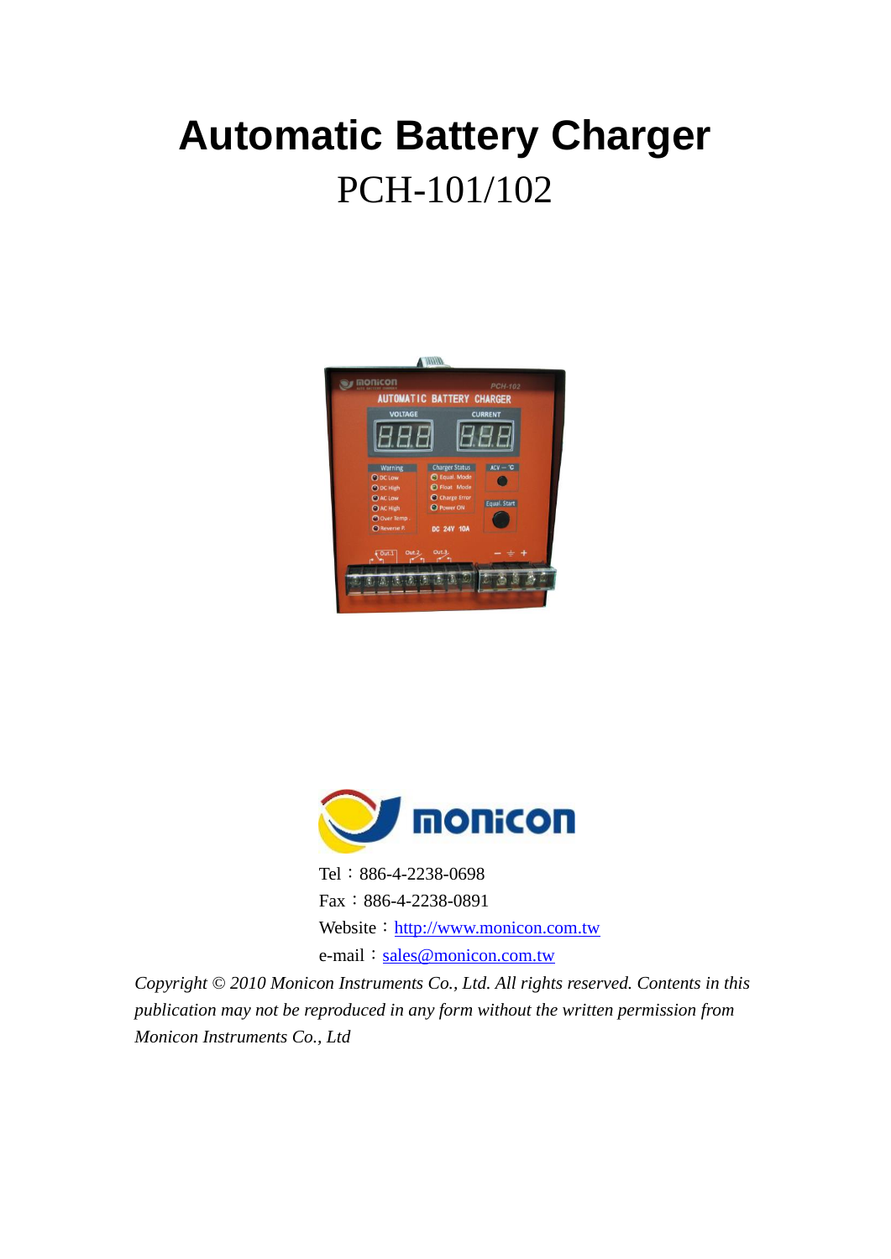# **Automatic Battery Charger** PCH-101/102





Tel:886-4-2238-0698 Fax:886-4-2238-0891 Website: [http://www.monicon.com.tw](http://www.monicon.com.tw/) e-mail: [sales@monicon.com.tw](mailto:sales@monicon.com.tw)

*Copyright © 2010 Monicon Instruments Co., Ltd. All rights reserved. Contents in this publication may not be reproduced in any form without the written permission from Monicon Instruments Co., Ltd*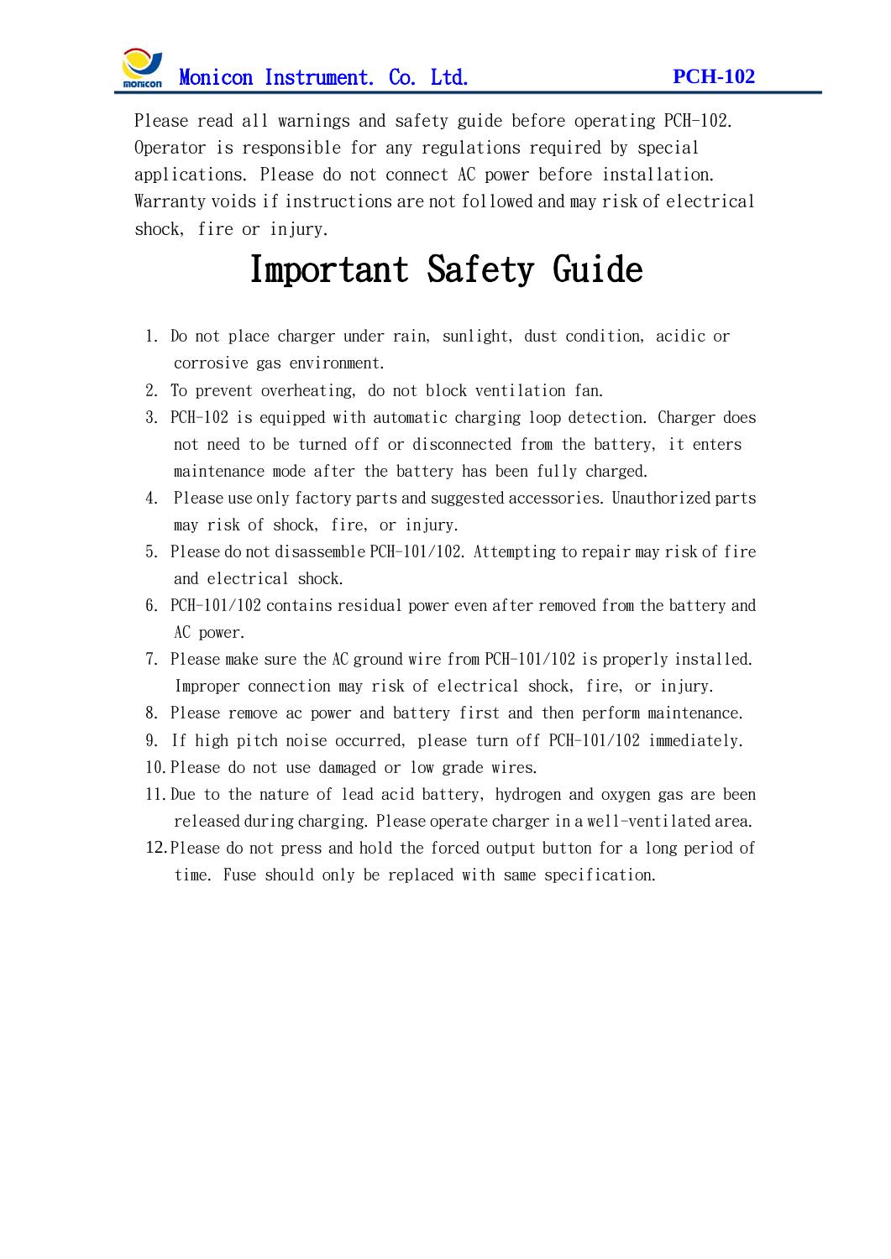Monicon Instrument. Co. Ltd. **PCH-102**

Please read all warnings and safety guide before operating PCH-102. Operator is responsible for any regulations required by special applications. Please do not connect AC power before installation. Warranty voids if instructions are not followed and may risk of electrical shock, fire or injury.

#### Important Safety Guide

- 1. Do not place charger under rain, sunlight, dust condition, acidic or corrosive gas environment.
- 2. To prevent overheating, do not block ventilation fan.
- 3. PCH-102 is equipped with automatic charging loop detection. Charger does not need to be turned off or disconnected from the battery, it enters maintenance mode after the battery has been fully charged.
- 4. Please use only factory parts and suggested accessories. Unauthorized parts may risk of shock, fire, or injury.
- 5. Please do not disassemble PCH-101/102. Attempting to repair may risk of fire and electrical shock.
- 6. PCH-101/102 contains residual power even after removed from the battery and AC power.
- 7. Please make sure the AC ground wire from PCH-101/102 is properly installed. Improper connection may risk of electrical shock, fire, or injury.
- 8. Please remove ac power and battery first and then perform maintenance.
- 9. If high pitch noise occurred, please turn off PCH-101/102 immediately.
- 10.Please do not use damaged or low grade wires.
- 11.Due to the nature of lead acid battery, hydrogen and oxygen gas are been released during charging. Please operate charger in a well-ventilated area.
- 12. Please do not press and hold the forced output button for a long period of time. Fuse should only be replaced with same specification.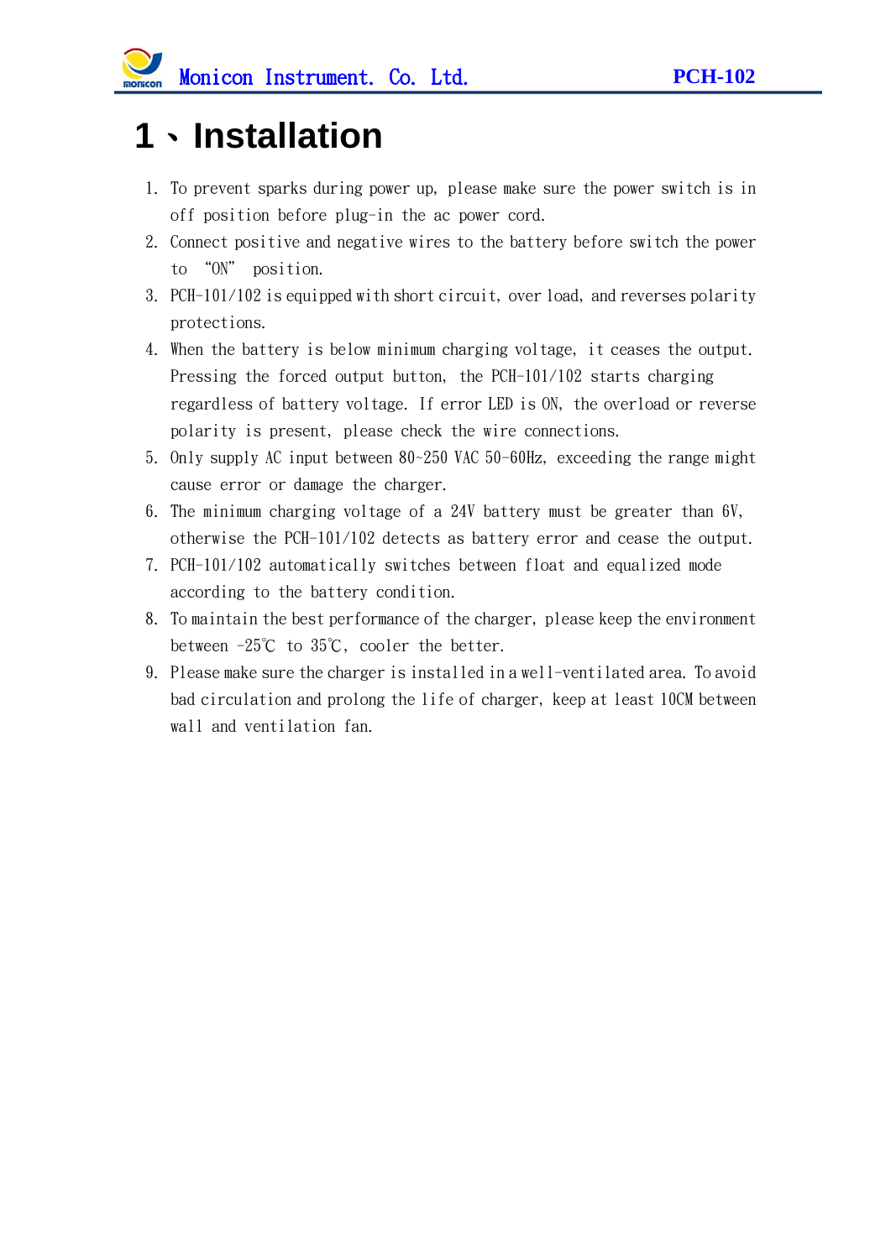#### **1**、**Installation**

- 1. To prevent sparks during power up, please make sure the power switch is in off position before plug-in the ac power cord.
- 2. Connect positive and negative wires to the battery before switch the power to "ON" position.
- 3. PCH-101/102 is equipped with short circuit, over load, and reverses polarity protections.
- 4. When the battery is below minimum charging voltage, it ceases the output. Pressing the forced output button, the PCH-101/102 starts charging regardless of battery voltage. If error LED is ON, the overload or reverse polarity is present, please check the wire connections.
- 5. Only supply AC input between 80~250 VAC 50-60Hz, exceeding the range might cause error or damage the charger.
- 6. The minimum charging voltage of a 24V battery must be greater than 6V, otherwise the PCH-101/102 detects as battery error and cease the output.
- 7. PCH-101/102 automatically switches between float and equalized mode according to the battery condition.
- 8. To maintain the best performance of the charger, please keep the environment between -25℃ to 35℃, cooler the better.
- 9. Please make sure the charger is installed in a well-ventilated area. To avoid bad circulation and prolong the life of charger, keep at least 10CM between wall and ventilation fan.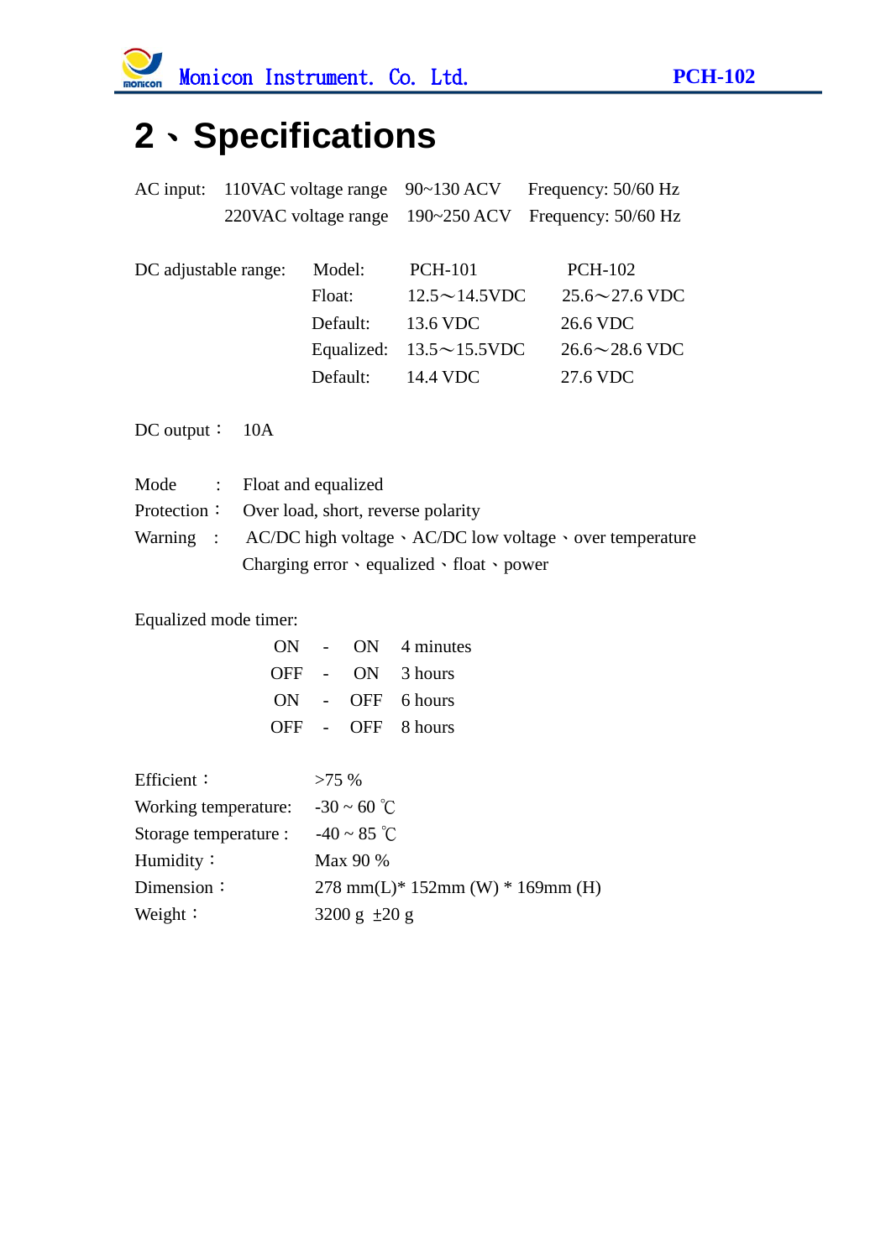### **2**、**Specifications**

| AC input:            | 110VAC voltage range |            | 90~130 ACV           | Frequency: 50/60 Hz  |
|----------------------|----------------------|------------|----------------------|----------------------|
|                      | 220VAC voltage range |            | 190~250 ACV          | Frequency: 50/60 Hz  |
| DC adjustable range: |                      | Model:     | <b>PCH-101</b>       | <b>PCH-102</b>       |
|                      |                      | Float:     | $12.5 \sim 14.5$ VDC | $25.6 \sim 27.6$ VDC |
|                      |                      | Default:   | 13.6 VDC             | 26.6 VDC             |
|                      |                      | Equalized: | $13.5 \sim 15.5$ VDC | $26.6 \sim 28.6$ VDC |
|                      |                      | Default:   | 14.4 VDC             | 27.6 VDC             |
|                      |                      |            |                      |                      |

DC output: 10A

Mode : Float and equalized Protection: Over load, short, reverse polarity Warning : AC/DC high voltage  $\cdot$  AC/DC low voltage  $\cdot$  over temperature Charging error、equalized、float、power

Equalized mode timer:

| 0 <sub>N</sub> |                | ON. | 4 minutes          |
|----------------|----------------|-----|--------------------|
| OFF            | $\sim$         |     | $ON \quad 3 hours$ |
| 0 <sub>N</sub> | $\sim 10^{-1}$ | OFF | 6 hours            |
| OFF            | $\sim$ $\sim$  | OFF | 8 hours            |

| Efficient:            | $>75\%$                            |
|-----------------------|------------------------------------|
| Working temperature:  | $-30 \sim 60 °C$                   |
| Storage temperature : | $-40 \sim 85$ °C                   |
| Humidity:             | Max 90 %                           |
| Dimension:            | $278$ mm(L)* 152mm (W) * 169mm (H) |
| Weight:               | $3200 \text{ g} \pm 20 \text{ g}$  |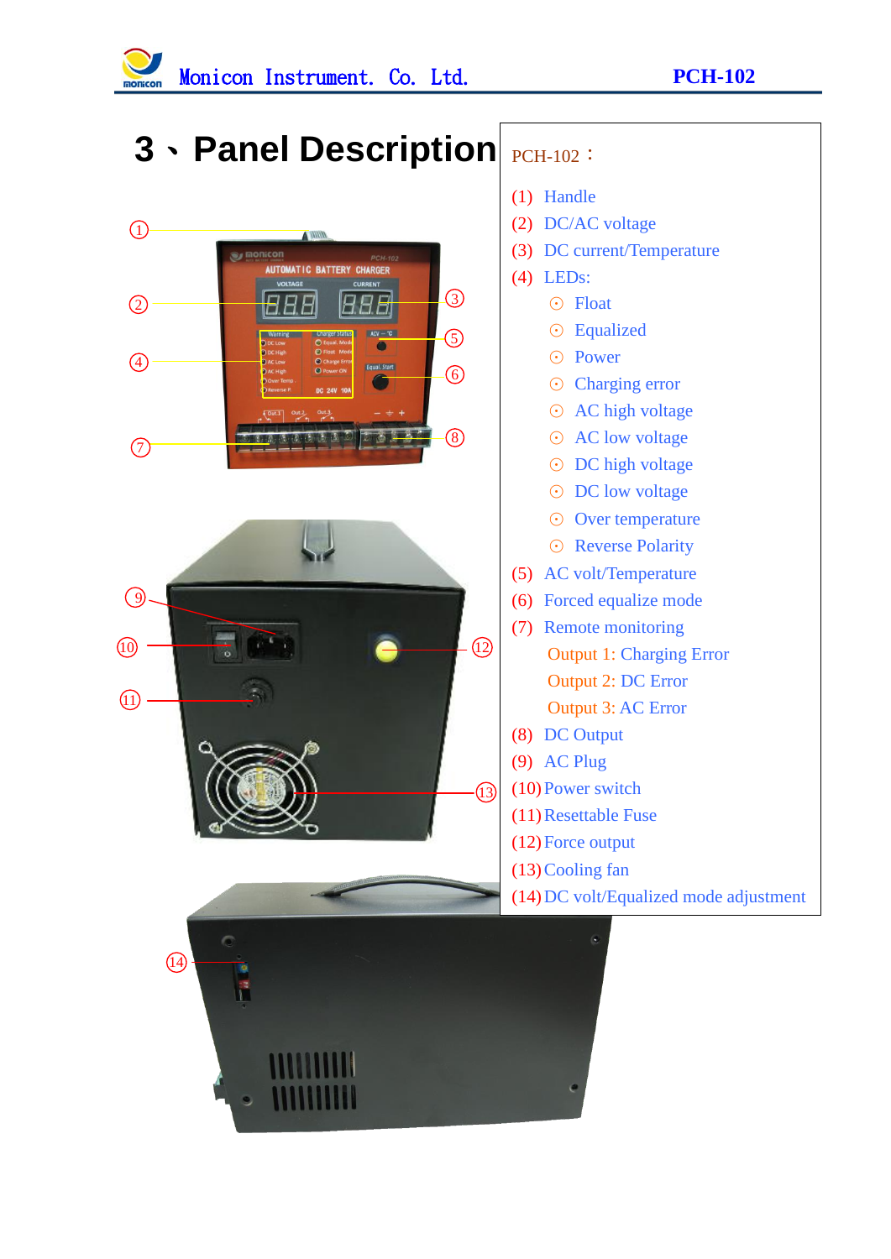#### **3**、**Panel Description**





#### PCH-102:

- (1) Handle
- (2) DC/AC voltage
- (3) DC current/Temperature
- (4) LEDs:
	- ⊙ Float
	- ⊙ Equalized
	- ⊙ Power
	- ⊙ Charging error
	- ⊙ AC high voltage
	- ⊙ AC low voltage
	- ⊙ DC high voltage
	- ⊙ DC low voltage
	- ⊙ Over temperature
	- ⊙ Reverse Polarity
- (5) AC volt/Temperature
- (6) Forced equalize mode
- (7) Remote monitoring Output 1: Charging Error Output 2: DC Error Output 3: AC Error
- (8) DC Output
- (9) AC Plug
- (10)Power switch
- (11)Resettable Fuse
- (12)Force output
- (13)Cooling fan
- (14)DC volt/Equalized mode adjustment